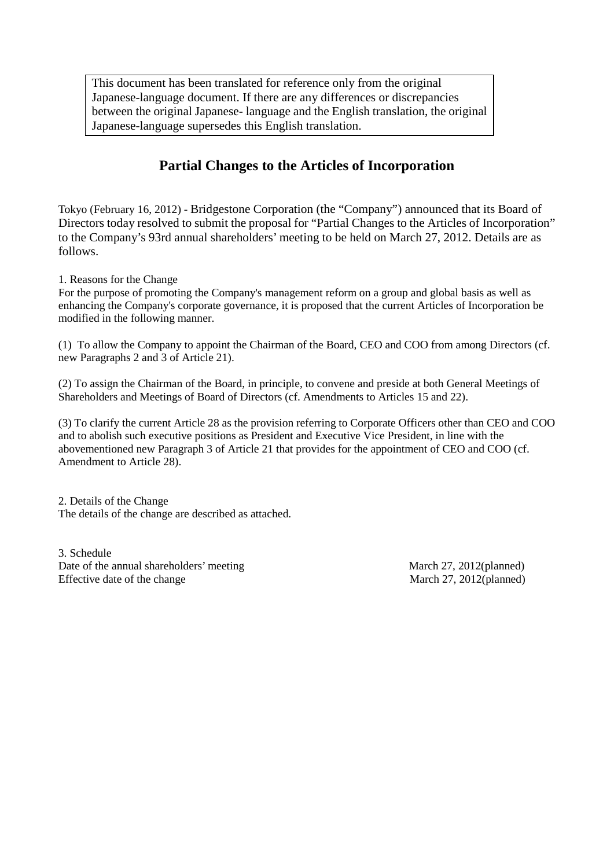This document has been translated for reference only from the original Japanese-language document. If there are any differences or discrepancies between the original Japanese- language and the English translation, the original Japanese-language supersedes this English translation.

## **Partial Changes to the Articles of Incorporation**

Tokyo (February 16, 2012) - Bridgestone Corporation (the "Company") announced that its Board of Directors today resolved to submit the proposal for "Partial Changes to the Articles of Incorporation" to the Company's 93rd annual shareholders' meeting to be held on March 27, 2012. Details are as follows.

1. Reasons for the Change

For the purpose of promoting the Company's management reform on a group and global basis as well as enhancing the Company's corporate governance, it is proposed that the current Articles of Incorporation be modified in the following manner.

(1) To allow the Company to appoint the Chairman of the Board, CEO and COO from among Directors (cf. new Paragraphs 2 and 3 of Article 21).

(2) To assign the Chairman of the Board, in principle, to convene and preside at both General Meetings of Shareholders and Meetings of Board of Directors (cf. Amendments to Articles 15 and 22).

(3) To clarify the current Article 28 as the provision referring to Corporate Officers other than CEO and COO and to abolish such executive positions as President and Executive Vice President, in line with the abovementioned new Paragraph 3 of Article 21 that provides for the appointment of CEO and COO (cf. Amendment to Article 28).

2. Details of the Change The details of the change are described as attached.

3. Schedule Date of the annual shareholders' meeting March 27, 2012(planned) Effective date of the change March 27, 2012(planned)